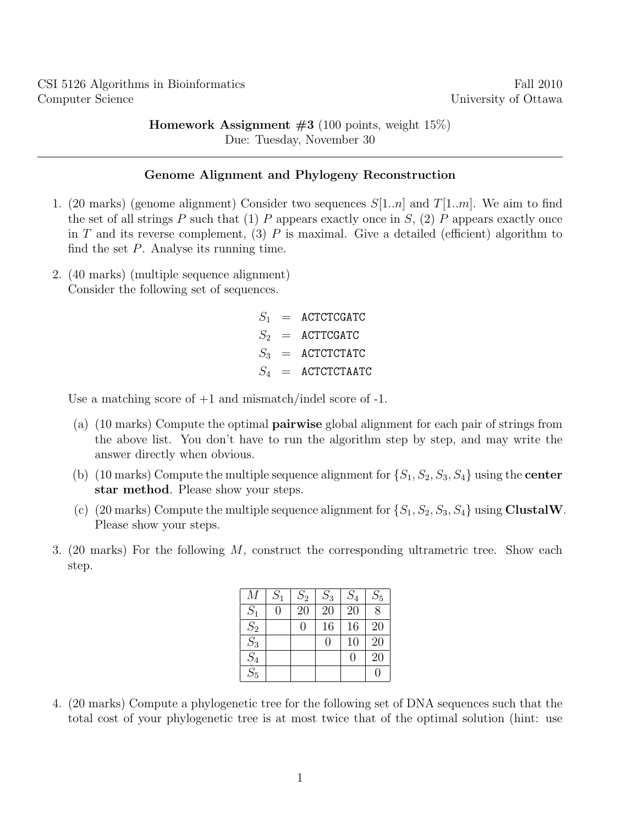**Homework Assignment**  $#3$  (100 points, weight 15%) Due: Tuesday, November 30

## Genome Alignment and Phylogeny Reconstruction

- 1. (20 marks) (genome alignment) Consider two sequences  $S[1..n]$  and  $T[1..m]$ . We aim to find the set of all strings P such that (1) P appears exactly once in S, (2) P appears exactly once in T and its reverse complement, (3) P is maximal. Give a detailed (efficient) algorithm to find the set  $P$ . Analyse its running time.
- 2. (40 marks) (multiple sequence alignment) Consider the following set of sequences.

 $S_1$  = ACTCTCGATC  $S_2$  = ACTTCGATC  $S_3$  = ACTCTCTATC  $S_4$  = ACTCTCTAATC

Use a matching score of  $+1$  and mismatch/indel score of  $-1$ .

- (a) (10 marks) Compute the optimal pairwise global alignment for each pair of strings from the above list. You don't have to run the algorithm step by step, and may write the answer directly when obvious.
- (b) (10 marks) Compute the multiple sequence alignment for  $\{S_1, S_2, S_3, S_4\}$  using the **center** star method. Please show your steps.
- (c) (20 marks) Compute the multiple sequence alignment for  $\{S_1, S_2, S_3, S_4\}$  using ClustalW. Please show your steps.
- 3. (20 marks) For the following M, construct the corresponding ultrametric tree. Show each step.

| М                 | $S_1$ | $S_2$          | $\mathcal{S}_3$ | $\mathcal{S}_4$ | $\mathcal{S}_5$ |
|-------------------|-------|----------------|-----------------|-----------------|-----------------|
| $S_1$             | 0     | 20             | 20              | 20              | $\overline{8}$  |
| $\overline{S_2}$  |       | $\overline{0}$ | 16              | 16              | 20              |
| $S_3$             |       |                | $\overline{0}$  | 10              | 20              |
| $\frac{S_4}{S_5}$ |       |                |                 | $\theta$        | 20              |
|                   |       |                |                 |                 | 0               |

4. (20 marks) Compute a phylogenetic tree for the following set of DNA sequences such that the total cost of your phylogenetic tree is at most twice that of the optimal solution (hint: use